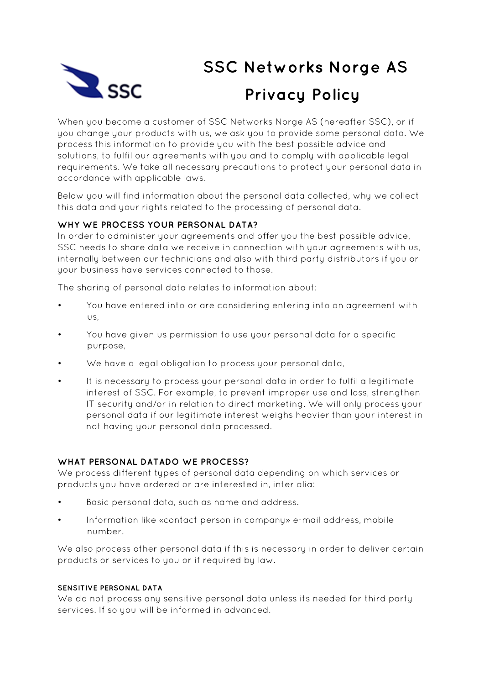

# **SSC Networks Norge AS**<br> **SSC Networks Norge AS**<br> **Privacu Policy Privacy Policy**

When you become a customer of SSC Networks Norge AS (hereafter SSC), or if you change your products with us, we ask you to provide some personal data. We process this information to provide you with the best possible advice and solutions, to fulfil our agreements with you and to comply with applicable legal requirements. We take all necessary precautions to protect your personal data in accordance with applicable laws.

Below you will find information about the personal data collected, why we collect this data and your rights related to the processing of personal data.

## **WHY WE PROCESS YOUR PERSONAL DATA?**

In order to administer your agreements and offer you the best possible advice, SSC needs to share data we receive in connection with your agreements with us, internally between our technicians and also with third party distributors if you or your business have services connected to those.

The sharing of personal data relates to information about:

- You have entered into or are considering entering into an agreement with us,
- You have given us permission to use your personal data for a specific purpose,
- We have a legal obligation to process your personal data,
- It is necessary to process your personal data in order to fulfil a legitimate interest of SSC. For example, to prevent improper use and loss, strengthen IT security and/or in relation to direct marketing. We will only process your personal data if our legitimate interest weighs heavier than your interest in not having your personal data processed.

## **WHAT PERSONAL DATADO WE PROCESS?**

We process different types of personal data depending on which services or products you have ordered or are interested in, inter alia:

- Basic personal data, such as name and address.
- Information like «contact person in company» e-mail address, mobile number.

We also process other personal data if this is necessary in order to deliver certain products or services to you or if required by law.

#### **SENSITIVE PERSONAL DATA**

We do not process any sensitive personal data unless its needed for third party services. If so you will be informed in advanced.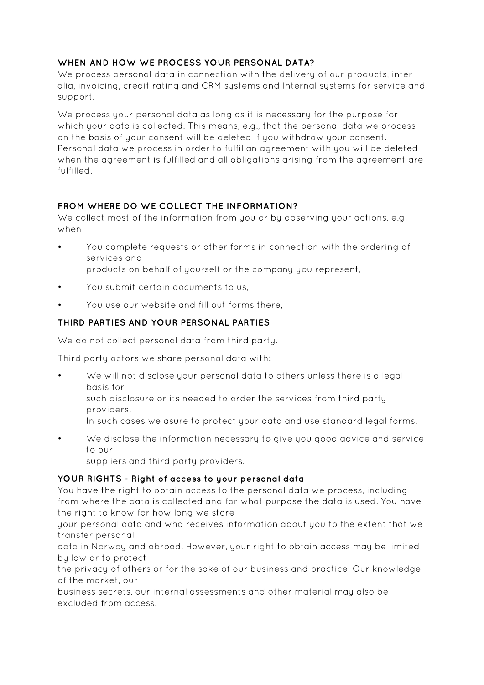## **WHEN AND HOW WE PROCESS YOUR PERSONAL DATA?**

We process personal data in connection with the delivery of our products, inter alia, invoicing, credit rating and CRM systems and Internal systems for service and support.

We process your personal data as long as it is necessary for the purpose for which your data is collected. This means, e.g., that the personal data we process on the basis of your consent will be deleted if you withdraw your consent. Personal data we process in order to fulfil an agreement with you will be deleted when the agreement is fulfilled and all obligations arising from the agreement are fulfilled.

## **FROM WHERE DO WE COLLECT THE INFORMATION?**

We collect most of the information from you or by observing your actions, e.g. when

- You complete requests or other forms in connection with the ordering of services and products on behalf of yourself or the company you represent,
- You submit certain documents to us,
- You use our website and fill out forms there,

# **THIRD PARTIES AND YOUR PERSONAL PARTIES**

We do not collect personal data from third party.

Third party actors we share personal data with:

- We will not disclose your personal data to others unless there is a legal basis for
	- such disclosure or its needed to order the services from third party providers.
	- In such cases we asure to protect your data and use standard legal forms.
- We disclose the information necessary to give you good advice and service to our

suppliers and third party providers.

## **YOUR RIGHTS - Right of access to your personal data**

You have the right to obtain access to the personal data we process, including from where the data is collected and for what purpose the data is used. You have the right to know for how long we store

your personal data and who receives information about you to the extent that we transfer personal

data in Norway and abroad. However, your right to obtain access may be limited by law or to protect

the privacy of others or for the sake of our business and practice. Our knowledge of the market, our

business secrets, our internal assessments and other material may also be excluded from access.